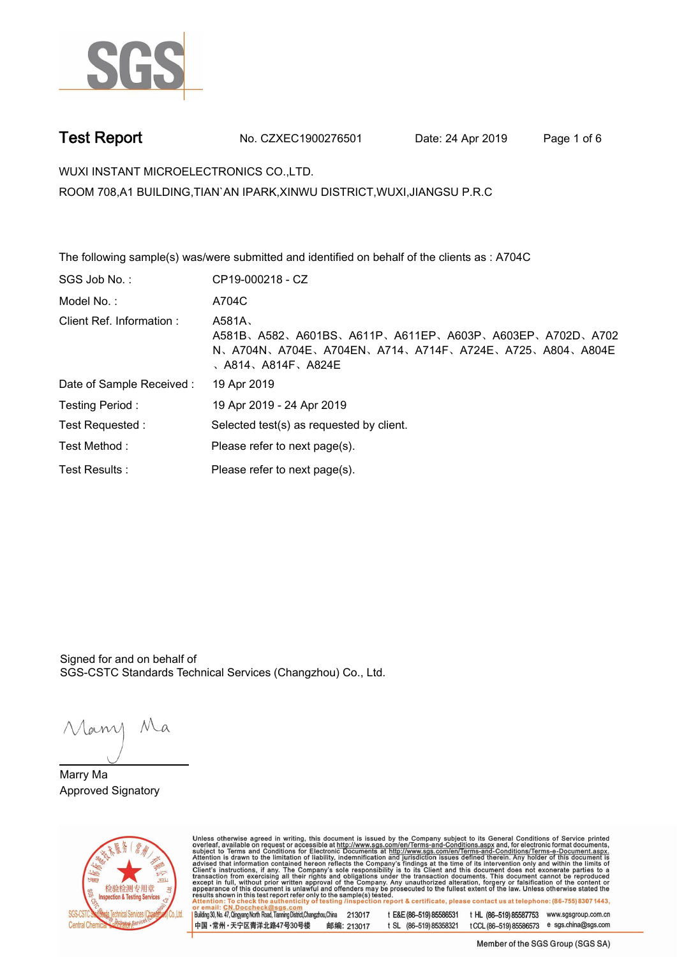

**Test Report. No. CZXEC1900276501** Date: 24 Apr 2019 Page 1 of 6

**WUXI INSTANT MICROELECTRONICS CO.,LTD..**

**ROOM 708,A1 BUILDING,TIAN`AN IPARK,XINWU DISTRICT,WUXI,JIANGSU P.R.C**

**The following sample(s) was/were submitted and identified on behalf of the clients as : A704C. SGS Job No. : CP19-000218 - CZ. Model No. :. A704C. Client Ref. Information :. A581A**、 **A581B**、**A582**、**A601BS**、**A611P**、**A611EP**、**A603P**、**A603EP**、**A702D**、**A702 N**、**A704N**、**A704E**、**A704EN**、**A714**、**A714F**、**A724E**、**A725**、**A804**、**A804E** 、**A814**、**A814F**、**A824E. Date of Sample Received :. 19 Apr 2019. Testing Period :. 19 Apr 2019 - 24 Apr 2019. Test Requested :. Selected test(s) as requested by client.. Please refer to next page(s).. Please refer to next page(s).**<br>Test Results : **Test Results :** Please refer to next page(s).

Signed for and on behalf of SGS-CSTC Standards Technical Services (Changzhou) Co., Ltd..

Many Ma

**Marry Ma. Approved Signatory.**



Unless otherwise agreed in writing, this document is issued by the Company subject to its General Conditions of Service printed overleaf, available on request or accessible at http://www.sgs.com/en/Terms-and-Conditions.as Building 30, No. 47, Qingyang North Road, Tianning District, Changzhou, China 213017 t E&E (86-519) 85586531 t HL (86-519) 85587753 www.sgsgroup.com.cn

中国·常州·天宁区青洋北路47号30号楼 邮编: 213017 t SL (86-519) 85358321 t CCL (86-519) 85586573 e sgs.china@sgs.com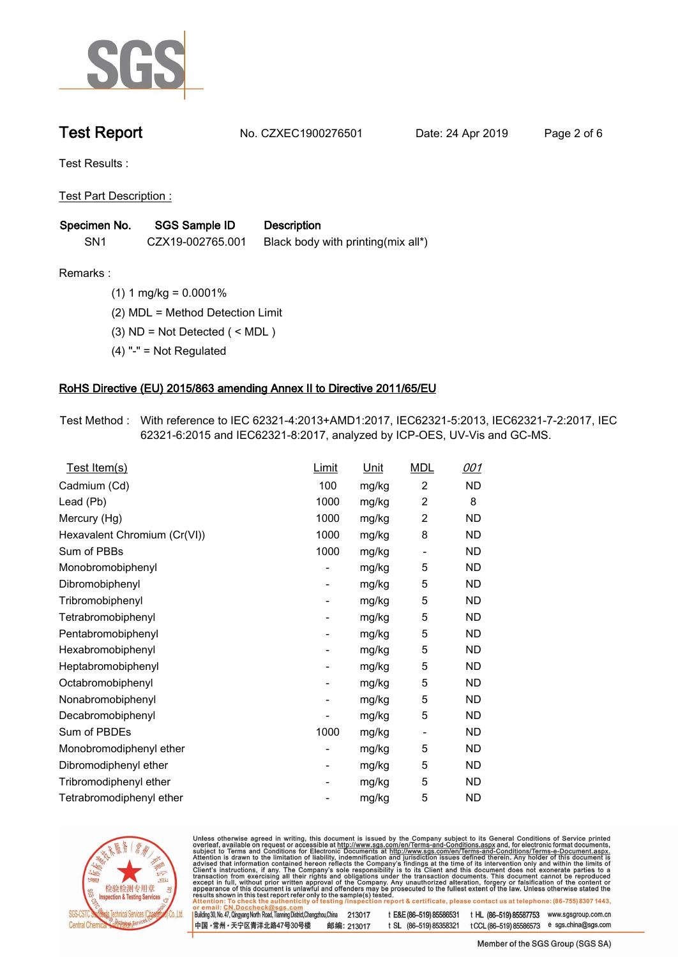

**Test Report. No. CZXEC1900276501** Date: 24 Apr 2019 Page 2 of 6

**Test Results :.**

**Test Part Description :.**

| Specimen No.    | SGS Sample ID    | <b>Description</b>                 |
|-----------------|------------------|------------------------------------|
| SN <sub>1</sub> | CZX19-002765.001 | Black body with printing(mix all*) |

**Remarks :.(1) 1 mg/kg = 0.0001%.**

**(2) MDL = Method Detection Limit.**

**(3) ND = Not Detected ( < MDL ).**

**(4) "-" = Not Regulated.**

### **RoHS Directive (EU) 2015/863 amending Annex II to Directive 2011/65/EU.**

**Test Method :. With reference to IEC 62321-4:2013+AMD1:2017, IEC62321-5:2013, IEC62321-7-2:2017, IEC 62321-6:2015 and IEC62321-8:2017, analyzed by ICP-OES, UV-Vis and GC-MS..**

| <u>Test Item(s)</u>          | <u>Limit</u>             | <u>Unit</u> | <b>MDL</b>       | <u>001</u> |
|------------------------------|--------------------------|-------------|------------------|------------|
| Cadmium (Cd)                 | 100                      | mg/kg       | 2                | <b>ND</b>  |
| Lead (Pb)                    | 1000                     | mg/kg       | $\boldsymbol{2}$ | 8          |
| Mercury (Hg)                 | 1000                     | mg/kg       | 2                | ND         |
| Hexavalent Chromium (Cr(VI)) | 1000                     | mg/kg       | 8                | ND         |
| Sum of PBBs                  | 1000                     | mg/kg       |                  | ND         |
| Monobromobiphenyl            | -                        | mg/kg       | 5                | <b>ND</b>  |
| Dibromobiphenyl              | $\overline{\phantom{a}}$ | mg/kg       | 5                | ND         |
| Tribromobiphenyl             | $\overline{a}$           | mg/kg       | 5                | ND.        |
| Tetrabromobiphenyl           | $\overline{\phantom{a}}$ | mg/kg       | 5                | ND.        |
| Pentabromobiphenyl           | $\overline{\phantom{a}}$ | mg/kg       | 5                | ND.        |
| Hexabromobiphenyl            | ۰                        | mg/kg       | 5                | ND.        |
| Heptabromobiphenyl           | $\overline{\phantom{m}}$ | mg/kg       | 5                | <b>ND</b>  |
| Octabromobiphenyl            | $\overline{\phantom{m}}$ | mg/kg       | 5                | ND.        |
| Nonabromobiphenyl            | $\overline{\phantom{a}}$ | mg/kg       | 5                | <b>ND</b>  |
| Decabromobiphenyl            |                          | mg/kg       | 5                | ND.        |
| Sum of PBDEs                 | 1000                     | mg/kg       | -                | ND         |
| Monobromodiphenyl ether      | -                        | mg/kg       | 5                | ND.        |
| Dibromodiphenyl ether        | $\overline{\phantom{a}}$ | mg/kg       | 5                | <b>ND</b>  |
| Tribromodiphenyl ether       | ۰                        | mg/kg       | 5                | ND.        |
| Tetrabromodiphenyl ether     |                          | mg/kg       | 5                | <b>ND</b>  |
|                              |                          |             |                  |            |



Unless otherwise agreed in writing, this document is issued by the Company subject to its General Conditions of Service printed overleaf, available on request or accessible at http://www.sgs.com/en/Terms-and-Conditions.as

Building 30, No. 47, Qingyang North Road, Tianning District, Changzhou, China 213017 t E&E (86-519) 85586531 t HL (86-519) 85587753 www.sgsgroup.com.cn 中国·常州·天宁区青洋北路47号30号楼 邮编: 213017 t SL (86-519) 85358321 t CCL (86-519) 85586573 e sgs.china@sgs.com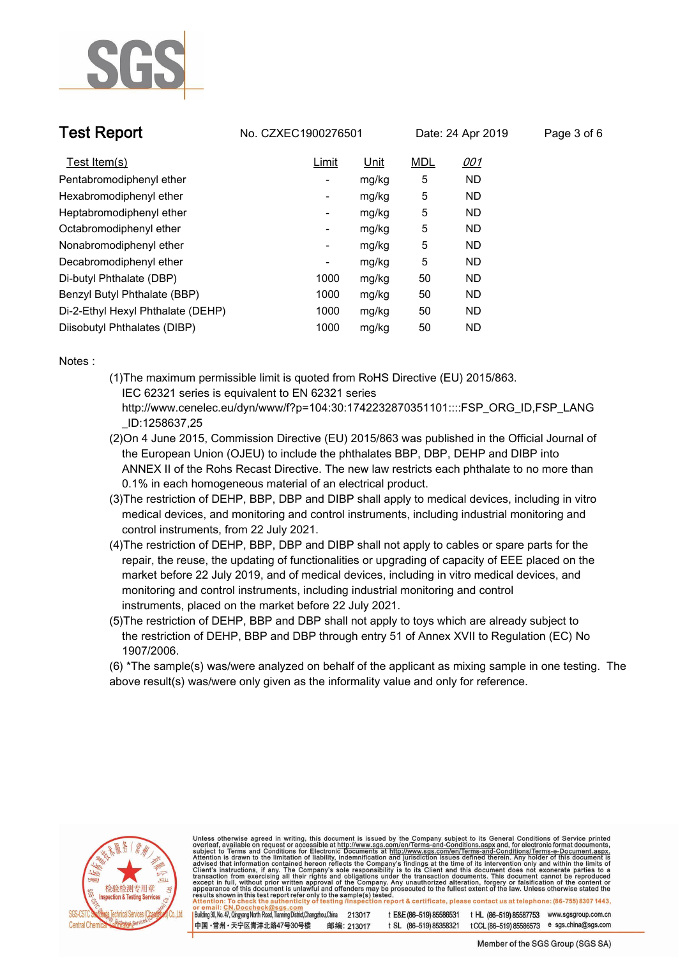

**Test Report. No. CZXEC1900276501** Date: 24 Apr 2019 Page 3 of 6

| Test Item(s)                      | <u>Limit</u>             | Unit  | <b>MDL</b> | <u>001</u> |
|-----------------------------------|--------------------------|-------|------------|------------|
| Pentabromodiphenyl ether          | $\overline{\phantom{a}}$ | mg/kg | 5          | <b>ND</b>  |
| Hexabromodiphenyl ether           | $\overline{\phantom{a}}$ | mg/kg | 5          | <b>ND</b>  |
| Heptabromodiphenyl ether          | Ξ.                       | mg/kg | 5          | <b>ND</b>  |
| Octabromodiphenyl ether           | -                        | mg/kg | 5          | <b>ND</b>  |
| Nonabromodiphenyl ether           | Ξ.                       | mg/kg | 5          | <b>ND</b>  |
| Decabromodiphenyl ether           | -                        | mg/kg | 5          | <b>ND</b>  |
| Di-butyl Phthalate (DBP)          | 1000                     | mg/kg | 50         | <b>ND</b>  |
| Benzyl Butyl Phthalate (BBP)      | 1000                     | mg/kg | 50         | <b>ND</b>  |
| Di-2-Ethyl Hexyl Phthalate (DEHP) | 1000                     | mg/kg | 50         | <b>ND</b>  |
| Diisobutyl Phthalates (DIBP)      | 1000                     | mg/kg | 50         | <b>ND</b>  |

**Notes :.**

- **(1)The maximum permissible limit is quoted from RoHS Directive (EU) 2015/863. IEC 62321 series is equivalent to EN 62321 series http://www.cenelec.eu/dyn/www/f?p=104:30:1742232870351101::::FSP\_ORG\_ID,FSP\_LANG**
- **\_ID:1258637,25 (2)On 4 June 2015, Commission Directive (EU) 2015/863 was published in the Official Journal of the European Union (OJEU) to include the phthalates BBP, DBP, DEHP and DIBP into ANNEX II of the Rohs Recast Directive. The new law restricts each phthalate to no more than 0.1% in each homogeneous material of an electrical product.**
- **(3)The restriction of DEHP, BBP, DBP and DIBP shall apply to medical devices, including in vitro medical devices, and monitoring and control instruments, including industrial monitoring and control instruments, from 22 July 2021.**
- **(4)The restriction of DEHP, BBP, DBP and DIBP shall not apply to cables or spare parts for the repair, the reuse, the updating of functionalities or upgrading of capacity of EEE placed on the market before 22 July 2019, and of medical devices, including in vitro medical devices, and monitoring and control instruments, including industrial monitoring and control instruments, placed on the market before 22 July 2021.**
- **(5)The restriction of DEHP, BBP and DBP shall not apply to toys which are already subject to the restriction of DEHP, BBP and DBP through entry 51 of Annex XVII to Regulation (EC) No 1907/2006.**

**(6) \*The sample(s) was/were analyzed on behalf of the applicant as mixing sample in one testing. The above result(s) was/were only given as the informality value and only for reference..**



Unless otherwise agreed in writing, this document is issued by the Company subject to its General Conditions of Service printed<br>overleaf, available on request or accessible at http://www.sgs.com/en/Terms-and-Conditions.as Building 30, No. 47, Qingyang North Road, Tianning District, Changzhou, China 213017 t E&E (86-519) 85586531 t HL (86-519) 85587753 www.sgsgroup.com.cn

中国·常州·天宁区青洋北路47号30号楼 邮编: 213017 t SL (86-519) 85358321 t CCL (86-519) 85586573 e sgs.china@sgs.com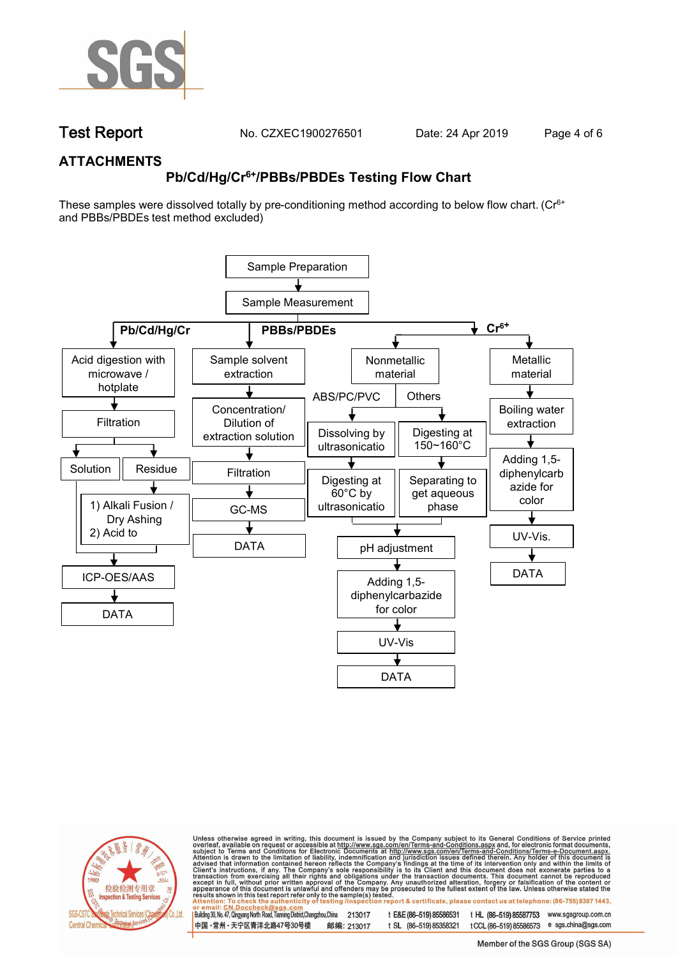

**Test Report. No. CZXEC1900276501** Date: 24 Apr 2019 Page 4 of 6

## **ATTACHMENTS**

# **Pb/Cd/Hg/Cr6+/PBBs/PBDEs Testing Flow Chart**

These samples were dissolved totally by pre-conditioning method according to below flow chart. (Cr6+ and PBBs/PBDEs test method excluded)





Unless otherwise agreed in writing, this document is issued by the Company subject to its General Conditions of Service printed<br>overleaf, available on request or accessible at http://www.sgs.com/en/Terms-and-Conditions.as

t E&E (86-519) 85586531 t HL (86-519) 85587753 www.sgsgroup.com.cn Building 30, No. 47, Qingyang North Road, Tianning District, Changzhou, China 213017 中国·常州·天宁区青洋北路47号30号楼 邮编: 213017 t SL (86-519) 85358321 t CCL (86-519) 85586573 e sgs.china@sgs.com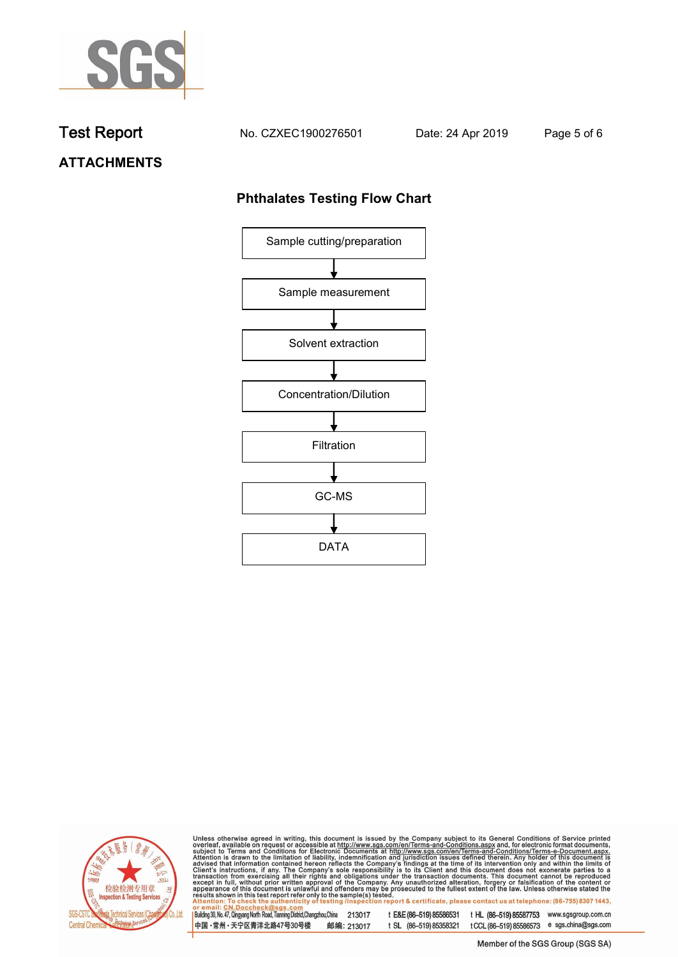

**Test Report. No. CZXEC1900276501 Date: 24 Apr 2019. Page 5 of 6.**

## **ATTACHMENTS**

## **Phthalates Testing Flow Chart**





Unless otherwise agreed in writing, this document is issued by the Company subject to its General Conditions of Service printed overleaf, available on request or accessible at http://www.sgs.com/en/Terms-and-Conditions.as

Building 30, No. 47, Qingyang North Road, Tianning District, Changzhou, China 213017 t E&E (86-519) 85586531 t HL (86-519) 85587753 www.sgsgroup.com.cn 中国·常州·天宁区青洋北路47号30号楼 邮编: 213017 t SL (86-519) 85358321 t CCL (86-519) 85586573 e sgs.china@sgs.com